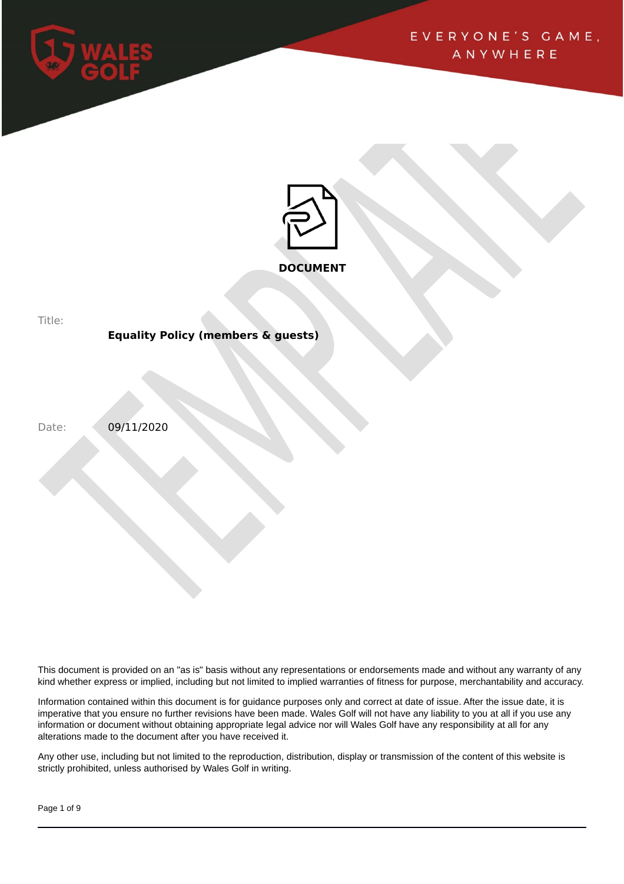



Title:

# **Equality Policy (members & guests)**

Date: 09/11/2020

This document is provided on an "as is" basis without any representations or endorsements made and without any warranty of any kind whether express or implied, including but not limited to implied warranties of fitness for purpose, merchantability and accuracy.

Information contained within this document is for guidance purposes only and correct at date of issue. After the issue date, it is imperative that you ensure no further revisions have been made. Wales Golf will not have any liability to you at all if you use any information or document without obtaining appropriate legal advice nor will Wales Golf have any responsibility at all for any alterations made to the document after you have received it.

Any other use, including but not limited to the reproduction, distribution, display or transmission of the content of this website is strictly prohibited, unless authorised by Wales Golf in writing.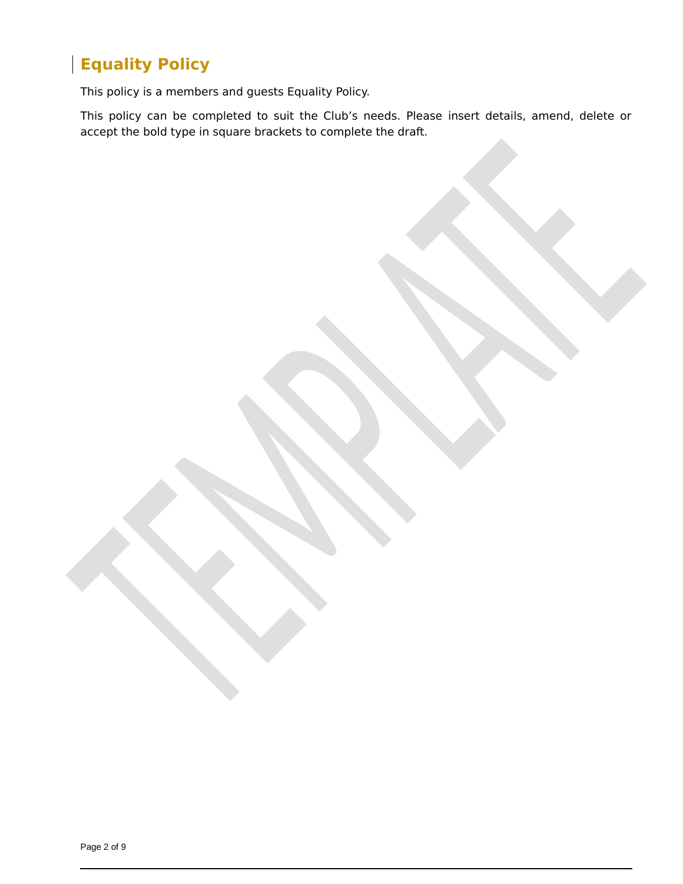# **Equality Policy**

This policy is a members and guests Equality Policy.

This policy can be completed to suit the Club's needs. Please insert details, amend, delete or accept the bold type in square brackets to complete the draft.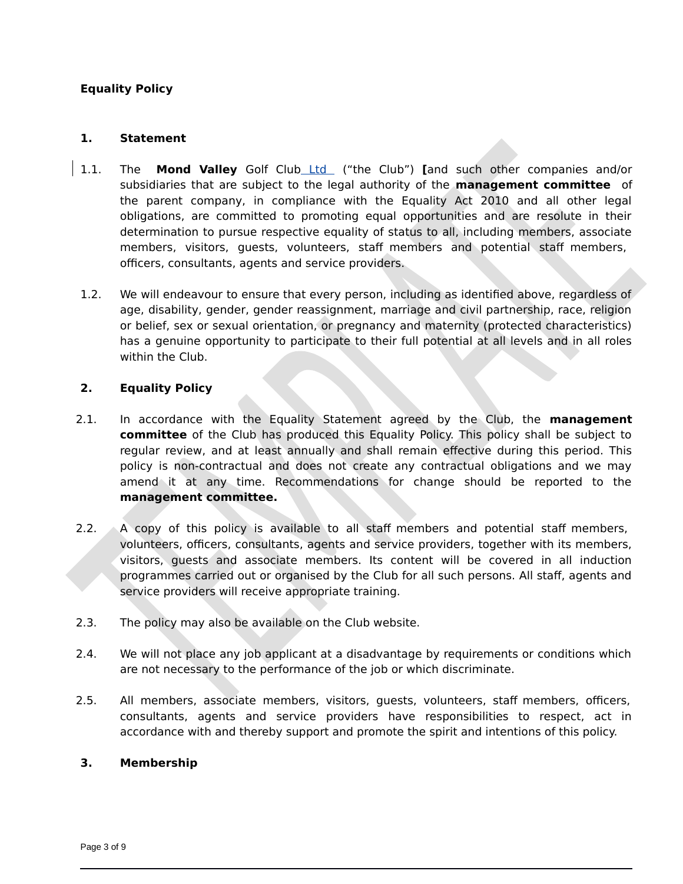# **Equality Policy**

## **1. Statement**

- 1.1. The **Mond Valley** Golf Club Ltd ("the Club") **[**and such other companies and/or subsidiaries that are subject to the legal authority of the **management committee** of the parent company, in compliance with the Equality Act 2010 and all other legal obligations, are committed to promoting equal opportunities and are resolute in their determination to pursue respective equality of status to all, including members, associate members, visitors, guests, volunteers, staff members and potential staff members, officers, consultants, agents and service providers.
- 1.2. We will endeavour to ensure that every person, including as identified above, regardless of age, disability, gender, gender reassignment, marriage and civil partnership, race, religion or belief, sex or sexual orientation, or pregnancy and maternity (protected characteristics) has a genuine opportunity to participate to their full potential at all levels and in all roles within the Club.

## **2. Equality Policy**

- 2.1. In accordance with the Equality Statement agreed by the Club, the **management committee** of the Club has produced this Equality Policy. This policy shall be subject to regular review, and at least annually and shall remain effective during this period. This policy is non-contractual and does not create any contractual obligations and we may amend it at any time. Recommendations for change should be reported to the **management committee.**
- 2.2. A copy of this policy is available to all staff members and potential staff members, volunteers, officers, consultants, agents and service providers, together with its members, visitors, guests and associate members. Its content will be covered in all induction programmes carried out or organised by the Club for all such persons. All staff, agents and service providers will receive appropriate training.
- 2.3. The policy may also be available on the Club website.
- 2.4. We will not place any job applicant at a disadvantage by requirements or conditions which are not necessary to the performance of the job or which discriminate.
- 2.5. All members, associate members, visitors, guests, volunteers, staff members, officers, consultants, agents and service providers have responsibilities to respect, act in accordance with and thereby support and promote the spirit and intentions of this policy.

#### **3. Membership**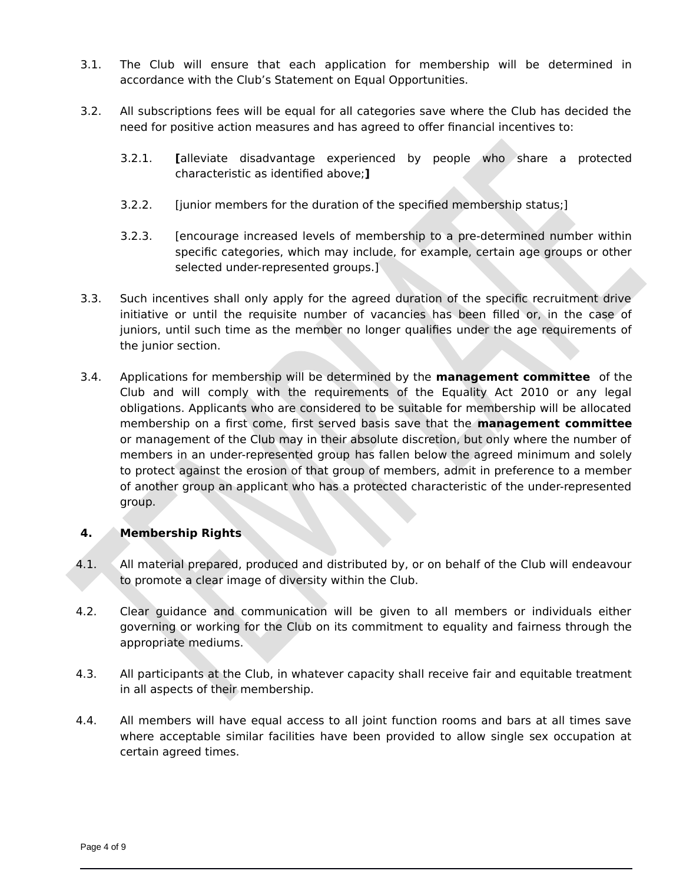- 3.1. The Club will ensure that each application for membership will be determined in accordance with the Club's Statement on Equal Opportunities.
- 3.2. All subscriptions fees will be equal for all categories save where the Club has decided the need for positive action measures and has agreed to offer financial incentives to:
	- 3.2.1. **[**alleviate disadvantage experienced by people who share a protected characteristic as identified above;**]**
	- 3.2.2. [junior members for the duration of the specified membership status;]
	- 3.2.3. [encourage increased levels of membership to a pre-determined number within specific categories, which may include, for example, certain age groups or other selected under-represented groups.]
- 3.3. Such incentives shall only apply for the agreed duration of the specific recruitment drive initiative or until the requisite number of vacancies has been filled or, in the case of juniors, until such time as the member no longer qualifies under the age requirements of the junior section.
- 3.4. Applications for membership will be determined by the **management committee** of the Club and will comply with the requirements of the Equality Act 2010 or any legal obligations. Applicants who are considered to be suitable for membership will be allocated membership on a first come, first served basis save that the **management committee** or management of the Club may in their absolute discretion, but only where the number of members in an under-represented group has fallen below the agreed minimum and solely to protect against the erosion of that group of members, admit in preference to a member of another group an applicant who has a protected characteristic of the under-represented group.

#### **4. Membership Rights**

- 4.1. All material prepared, produced and distributed by, or on behalf of the Club will endeavour to promote a clear image of diversity within the Club.
- 4.2. Clear guidance and communication will be given to all members or individuals either governing or working for the Club on its commitment to equality and fairness through the appropriate mediums.
- 4.3. All participants at the Club, in whatever capacity shall receive fair and equitable treatment in all aspects of their membership.
- 4.4. All members will have equal access to all joint function rooms and bars at all times save where acceptable similar facilities have been provided to allow single sex occupation at certain agreed times.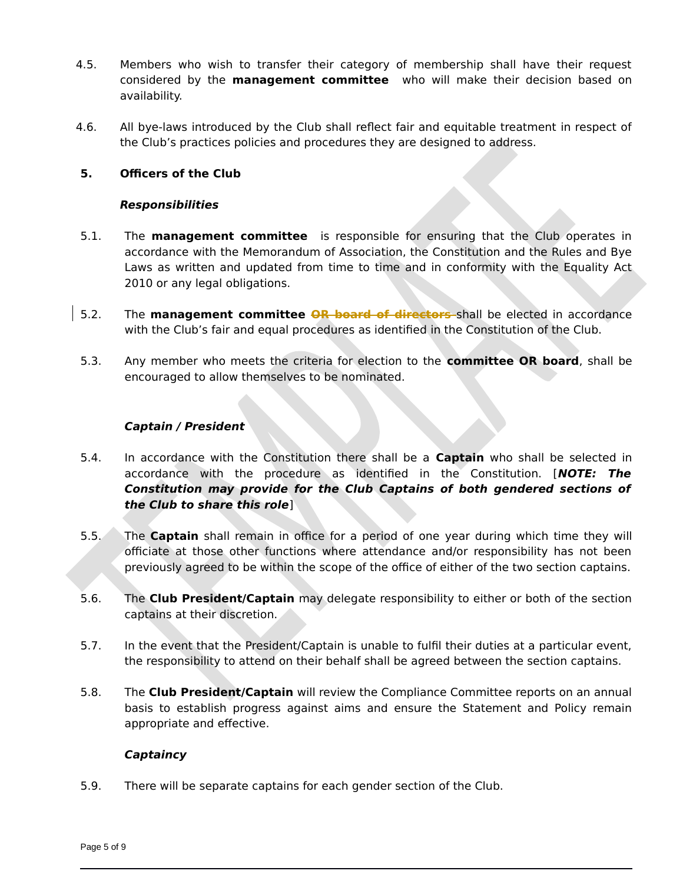- 4.5. Members who wish to transfer their category of membership shall have their request considered by the **management committee** who will make their decision based on availability.
- 4.6. All bye-laws introduced by the Club shall reflect fair and equitable treatment in respect of the Club's practices policies and procedures they are designed to address.

## **5. Officers of the Club**

#### **Responsibilities**

- 5.1. The **management committee** is responsible for ensuring that the Club operates in accordance with the Memorandum of Association, the Constitution and the Rules and Bye Laws as written and updated from time to time and in conformity with the Equality Act 2010 or any legal obligations.
- 5.2. The **management committee OR board of directors** shall be elected in accordance with the Club's fair and equal procedures as identified in the Constitution of the Club.
- 5.3. Any member who meets the criteria for election to the **committee OR board**, shall be encouraged to allow themselves to be nominated.

## **Captain / President**

- 5.4. In accordance with the Constitution there shall be a **Captain** who shall be selected in accordance with the procedure as identified in the Constitution. [**NOTE: The Constitution may provide for the Club Captains of both gendered sections of the Club to share this role**]
- 5.5. The **Captain** shall remain in office for a period of one year during which time they will officiate at those other functions where attendance and/or responsibility has not been previously agreed to be within the scope of the office of either of the two section captains.
- 5.6. The **Club President/Captain** may delegate responsibility to either or both of the section captains at their discretion.
- 5.7. In the event that the President/Captain is unable to fulfil their duties at a particular event, the responsibility to attend on their behalf shall be agreed between the section captains.
- 5.8. The **Club President/Captain** will review the Compliance Committee reports on an annual basis to establish progress against aims and ensure the Statement and Policy remain appropriate and effective.

#### **Captaincy**

5.9. There will be separate captains for each gender section of the Club.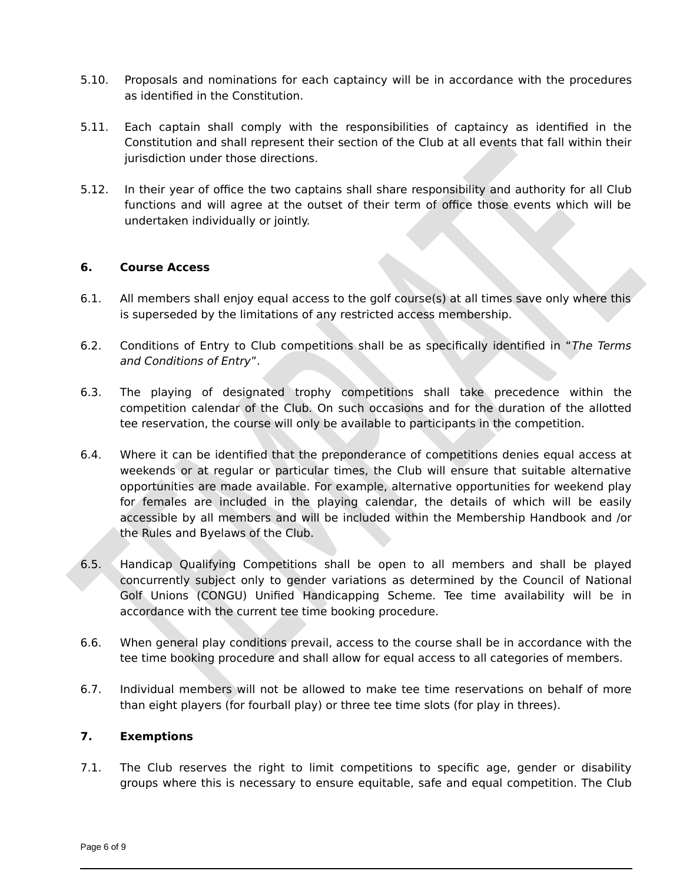- 5.10. Proposals and nominations for each captaincy will be in accordance with the procedures as identified in the Constitution.
- 5.11. Each captain shall comply with the responsibilities of captaincy as identified in the Constitution and shall represent their section of the Club at all events that fall within their jurisdiction under those directions.
- 5.12. In their year of office the two captains shall share responsibility and authority for all Club functions and will agree at the outset of their term of office those events which will be undertaken individually or jointly.

## **6. Course Access**

- 6.1. All members shall enjoy equal access to the golf course(s) at all times save only where this is superseded by the limitations of any restricted access membership.
- 6.2. Conditions of Entry to Club competitions shall be as specifically identified in "The Terms and Conditions of Entry".
- 6.3. The playing of designated trophy competitions shall take precedence within the competition calendar of the Club. On such occasions and for the duration of the allotted tee reservation, the course will only be available to participants in the competition.
- 6.4. Where it can be identified that the preponderance of competitions denies equal access at weekends or at regular or particular times, the Club will ensure that suitable alternative opportunities are made available. For example, alternative opportunities for weekend play for females are included in the playing calendar, the details of which will be easily accessible by all members and will be included within the Membership Handbook and /or the Rules and Byelaws of the Club.
- 6.5. Handicap Qualifying Competitions shall be open to all members and shall be played concurrently subject only to gender variations as determined by the Council of National Golf Unions (CONGU) Unified Handicapping Scheme. Tee time availability will be in accordance with the current tee time booking procedure.
- 6.6. When general play conditions prevail, access to the course shall be in accordance with the tee time booking procedure and shall allow for equal access to all categories of members.
- 6.7. Individual members will not be allowed to make tee time reservations on behalf of more than eight players (for fourball play) or three tee time slots (for play in threes).

## **7. Exemptions**

7.1. The Club reserves the right to limit competitions to specific age, gender or disability groups where this is necessary to ensure equitable, safe and equal competition. The Club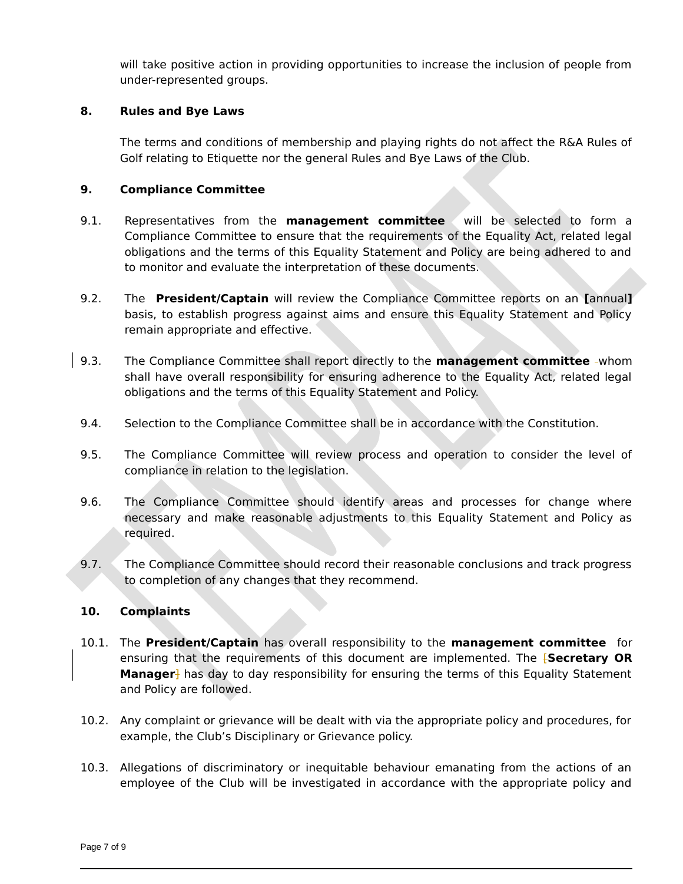will take positive action in providing opportunities to increase the inclusion of people from under-represented groups.

# **8. Rules and Bye Laws**

The terms and conditions of membership and playing rights do not affect the R&A Rules of Golf relating to Etiquette nor the general Rules and Bye Laws of the Club.

## **9. Compliance Committee**

- 9.1. Representatives from the **management committee** will be selected to form a Compliance Committee to ensure that the requirements of the Equality Act, related legal obligations and the terms of this Equality Statement and Policy are being adhered to and to monitor and evaluate the interpretation of these documents.
- 9.2. The **President/Captain** will review the Compliance Committee reports on an **[**annual**]** basis, to establish progress against aims and ensure this Equality Statement and Policy remain appropriate and effective.
- 9.3. The Compliance Committee shall report directly to the **management committee** whom shall have overall responsibility for ensuring adherence to the Equality Act, related legal obligations and the terms of this Equality Statement and Policy.
- 9.4. Selection to the Compliance Committee shall be in accordance with the Constitution.
- 9.5. The Compliance Committee will review process and operation to consider the level of compliance in relation to the legislation.
- 9.6. The Compliance Committee should identify areas and processes for change where necessary and make reasonable adjustments to this Equality Statement and Policy as required.
- 9.7. The Compliance Committee should record their reasonable conclusions and track progress to completion of any changes that they recommend.

#### **10. Complaints**

- 10.1. The **President/Captain** has overall responsibility to the **management committee** for ensuring that the requirements of this document are implemented. The [**Secretary OR Manager**] has day to day responsibility for ensuring the terms of this Equality Statement and Policy are followed.
- 10.2. Any complaint or grievance will be dealt with via the appropriate policy and procedures, for example, the Club's Disciplinary or Grievance policy.
- 10.3. Allegations of discriminatory or inequitable behaviour emanating from the actions of an employee of the Club will be investigated in accordance with the appropriate policy and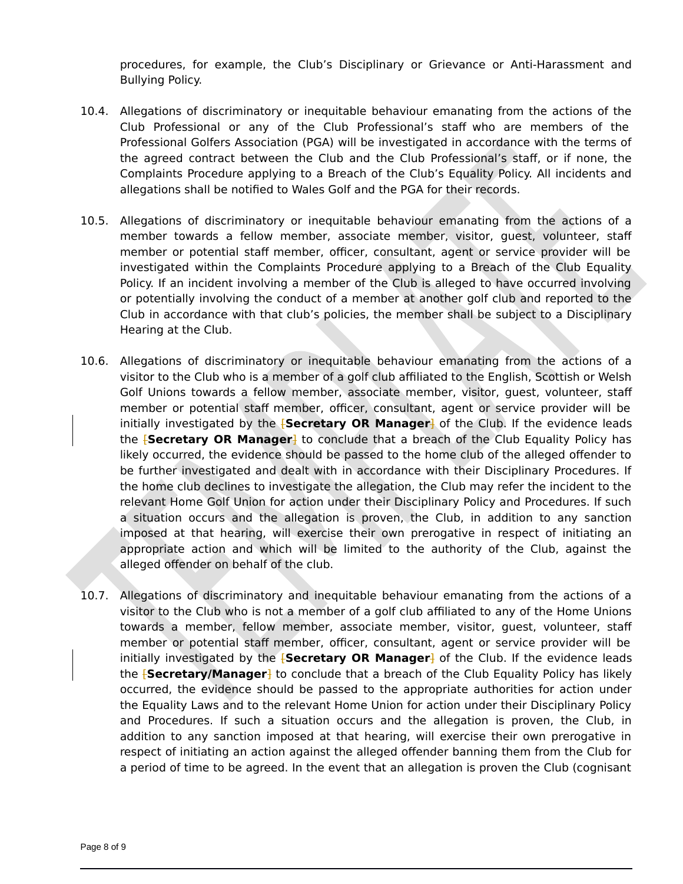procedures, for example, the Club's Disciplinary or Grievance or Anti-Harassment and Bullying Policy.

- 10.4. Allegations of discriminatory or inequitable behaviour emanating from the actions of the Club Professional or any of the Club Professional's staff who are members of the Professional Golfers Association (PGA) will be investigated in accordance with the terms of the agreed contract between the Club and the Club Professional's staff, or if none, the Complaints Procedure applying to a Breach of the Club's Equality Policy. All incidents and allegations shall be notified to Wales Golf and the PGA for their records.
- 10.5. Allegations of discriminatory or inequitable behaviour emanating from the actions of a member towards a fellow member, associate member, visitor, guest, volunteer, staff member or potential staff member, officer, consultant, agent or service provider will be investigated within the Complaints Procedure applying to a Breach of the Club Equality Policy. If an incident involving a member of the Club is alleged to have occurred involving or potentially involving the conduct of a member at another golf club and reported to the Club in accordance with that club's policies, the member shall be subject to a Disciplinary Hearing at the Club.
- 10.6. Allegations of discriminatory or inequitable behaviour emanating from the actions of a visitor to the Club who is a member of a golf club affiliated to the English, Scottish or Welsh Golf Unions towards a fellow member, associate member, visitor, guest, volunteer, staff member or potential staff member, officer, consultant, agent or service provider will be initially investigated by the **[Secretary OR Manager]** of the Club. If the evidence leads the [**Secretary OR Manager**] to conclude that a breach of the Club Equality Policy has likely occurred, the evidence should be passed to the home club of the alleged offender to be further investigated and dealt with in accordance with their Disciplinary Procedures. If the home club declines to investigate the allegation, the Club may refer the incident to the relevant Home Golf Union for action under their Disciplinary Policy and Procedures. If such a situation occurs and the allegation is proven, the Club, in addition to any sanction imposed at that hearing, will exercise their own prerogative in respect of initiating an appropriate action and which will be limited to the authority of the Club, against the alleged offender on behalf of the club.
- 10.7. Allegations of discriminatory and inequitable behaviour emanating from the actions of a visitor to the Club who is not a member of a golf club affiliated to any of the Home Unions towards a member, fellow member, associate member, visitor, guest, volunteer, staff member or potential staff member, officer, consultant, agent or service provider will be initially investigated by the [**Secretary OR Manager**] of the Club. If the evidence leads the [**Secretary/Manager**] to conclude that a breach of the Club Equality Policy has likely occurred, the evidence should be passed to the appropriate authorities for action under the Equality Laws and to the relevant Home Union for action under their Disciplinary Policy and Procedures. If such a situation occurs and the allegation is proven, the Club, in addition to any sanction imposed at that hearing, will exercise their own prerogative in respect of initiating an action against the alleged offender banning them from the Club for a period of time to be agreed. In the event that an allegation is proven the Club (cognisant